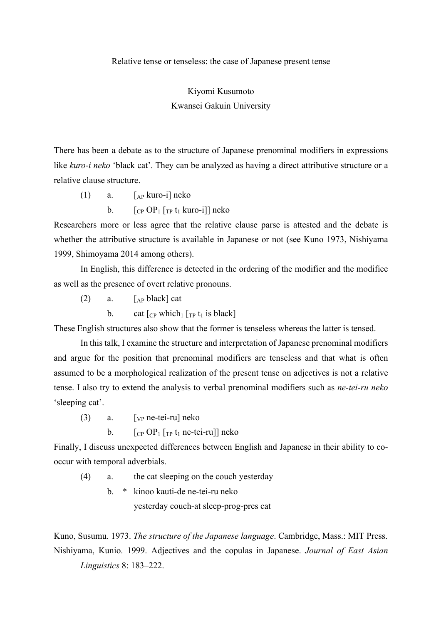Relative tense or tenseless: the case of Japanese present tense

Kiyomi Kusumoto

Kwansei Gakuin University

There has been a debate as to the structure of Japanese prenominal modifiers in expressions like *kuro-i neko* 'black cat'. They can be analyzed as having a direct attributive structure or a relative clause structure.

- (1) a.  $\lceil_{AP}$  kuro-i] neko
	- b.  $[CP OP_1 [TP t_1 \text{ kuro-i}]]$  neko

Researchers more or less agree that the relative clause parse is attested and the debate is whether the attributive structure is available in Japanese or not (see Kuno 1973, Nishiyama 1999, Shimoyama 2014 among others).

In English, this difference is detected in the ordering of the modifier and the modifiee as well as the presence of overt relative pronouns.

 $(2)$  a. [Ap black] cat

b. cat  $\lceil_{CP}$  which<sub>1</sub>  $\lceil_{TP} t_1 \rceil$  is black]

These English structures also show that the former is tenseless whereas the latter is tensed.

In this talk, I examine the structure and interpretation of Japanese prenominal modifiers and argue for the position that prenominal modifiers are tenseless and that what is often assumed to be a morphological realization of the present tense on adjectives is not a relative tense. I also try to extend the analysis to verbal prenominal modifiers such as *ne-tei-ru neko* 'sleeping cat'.

(3) a. [VP ne-tei-ru] neko

b.  $[CP OP<sub>1</sub> [TP t<sub>1</sub> ne-tei-ru]]$  neko

Finally, I discuss unexpected differences between English and Japanese in their ability to cooccur with temporal adverbials.

- (4) a. the cat sleeping on the couch yesterday
	- b. \* kinoo kauti-de ne-tei-ru neko

yesterday couch-at sleep-prog-pres cat

Kuno, Susumu. 1973. *The structure of the Japanese language*. Cambridge, Mass.: MIT Press. Nishiyama, Kunio. 1999. Adjectives and the copulas in Japanese. *Journal of East Asian Linguistics* 8: 183–222.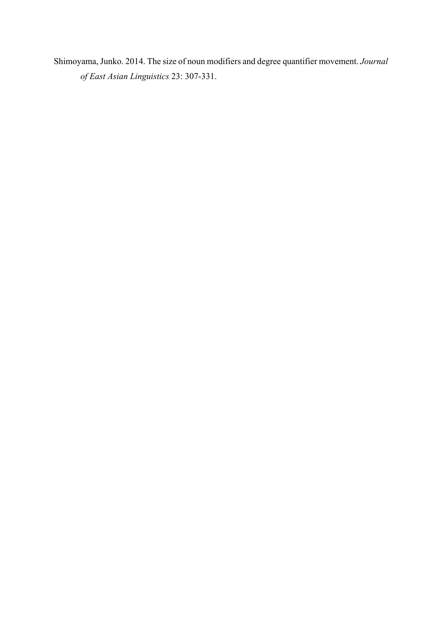Shimoyama, Junko. 2014. The size of noun modifiers and degree quantifier movement. *Journal of East Asian Linguistics* 23: 307-331.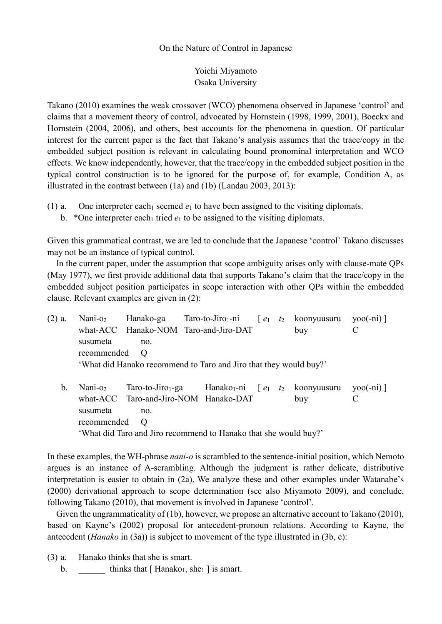## On the Nature of Control in Japanese

Yoichi Miyamoto Osaka University

Takano (2010) examines the weak crossover (WCO) phenomena observed in Japanese 'control' and claims that a movement theory of control, advocated by Hornstein (1998, 1999, 2001), Boeckx and Hornstein (2004, 2006), and others, best accounts for the phenomena in question. Of particular interest for the current paper is the fact that Takano's analysis assumes that the trace/copy in the embedded subject position is relevant in calculating bound pronominal interpretation and WCO effects. We know independently, however, that the trace/copy in the embedded subject position in the typical control construction is to be ignored for the purpose of, for example, Condition A, as illustrated in the contrast between (1a) and (1b) (Landau 2003, 2013):

- (1) a. One interpreter each<sub>1</sub> seemed  $e_1$  to have been assigned to the visiting diplomats.
	- b. \*One interpreter each<sub>1</sub> tried  $e_1$  to be assigned to the visiting diplomats.

Given this grammatical contrast, we are led to conclude that the Japanese 'control' Takano discusses may not be an instance of typical control.

In the current paper, under the assumption that scope ambiguity arises only with clause-mate QPs (May 1977), we first provide additional data that supports Takano's claim that the trace/copy in the embedded subject position participates in scope interaction with other QPs within the embedded clause. Relevant examples are given in (2):

- (2) a. Nani-o<sub>2</sub> Hanako-ga Taro-to-Jiro<sub>1</sub>-ni  $[e_1 \ t_2 \text{koon}$ yuusuru yoo(-ni) what-ACC Hanako-NOM Taro-and-Jiro-DAT buy C susumeta no. recommended O 'What did Hanako recommend to Taro and Jiro that they would buy?'
	- b. Nani-o<sub>2</sub> Taro-to-Jiro<sub>1</sub>-ga Hanako<sub>1</sub>-ni  $[e_1 \ t_2 \text{ kony}$ uusuru yoo(-ni) what-ACC Taro-and-Jiro-NOM Hanako-DAT buy C susumeta no. recommended O 'What did Taro and Jiro recommend to Hanako that she would buy?'

In these examples, the WH-phrase *nani-o* is scrambled to the sentence-initial position, which Nemoto argues is an instance of A-scrambling. Although the judgment is rather delicate, distributive interpretation is easier to obtain in (2a). We analyze these and other examples under Watanabe's (2000) derivational approach to scope determination (see also Miyamoto 2009), and conclude, following Takano (2010), that movement is involved in Japanese 'control'.

Given the ungrammaticality of (1b), however, we propose an alternative account to Takano (2010), based on Kayne's (2002) proposal for antecedent-pronoun relations. According to Kayne, the antecedent (*Hanako* in (3a)) is subject to movement of the type illustrated in (3b, c):

- (3) a. Hanako thinks that she is smart.
	- b.  $\qquad \qquad \text{thinks that } [\text{ Hanako}_1, \text{she}_1] \text{ is smart.}$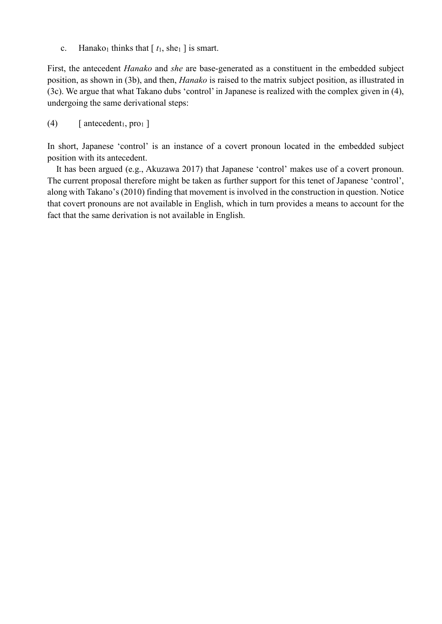c. Hanako<sub>1</sub> thinks that  $[t_1, she_1]$  is smart.

First, the antecedent *Hanako* and *she* are base-generated as a constituent in the embedded subject position, as shown in (3b), and then, *Hanako* is raised to the matrix subject position, as illustrated in (3c). We argue that what Takano dubs 'control' in Japanese is realized with the complex given in (4), undergoing the same derivational steps:

 $(4)$  [antecedent<sub>1</sub>, pro<sub>1</sub>]

In short, Japanese 'control' is an instance of a covert pronoun located in the embedded subject position with its antecedent.

It has been argued (e.g., Akuzawa 2017) that Japanese 'control' makes use of a covert pronoun. The current proposal therefore might be taken as further support for this tenet of Japanese 'control', along with Takano's (2010) finding that movement is involved in the construction in question. Notice that covert pronouns are not available in English, which in turn provides a means to account for the fact that the same derivation is not available in English.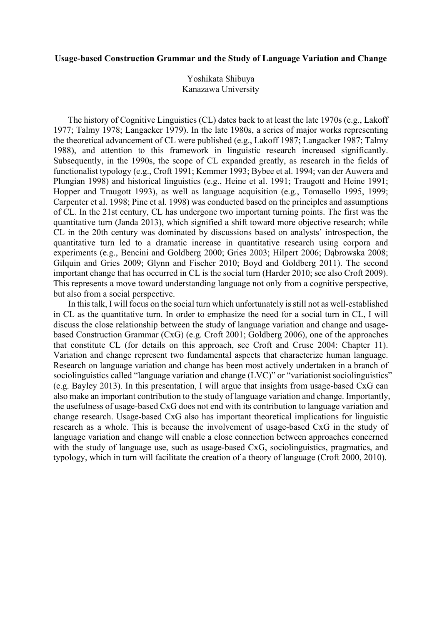## **Usage-based Construction Grammar and the Study of Language Variation and Change**

Yoshikata Shibuya Kanazawa University

The history of Cognitive Linguistics (CL) dates back to at least the late 1970s (e.g., Lakoff 1977; Talmy 1978; Langacker 1979). In the late 1980s, a series of major works representing the theoretical advancement of CL were published (e.g., Lakoff 1987; Langacker 1987; Talmy 1988), and attention to this framework in linguistic research increased significantly. Subsequently, in the 1990s, the scope of CL expanded greatly, as research in the fields of functionalist typology (e.g., Croft 1991; Kemmer 1993; Bybee et al. 1994; van der Auwera and Plungian 1998) and historical linguistics (e.g., Heine et al. 1991; Traugott and Heine 1991; Hopper and Traugott 1993), as well as language acquisition (e.g., Tomasello 1995, 1999; Carpenter et al. 1998; Pine et al. 1998) was conducted based on the principles and assumptions of CL. In the 21st century, CL has undergone two important turning points. The first was the quantitative turn (Janda 2013), which signified a shift toward more objective research; while CL in the 20th century was dominated by discussions based on analysts' introspection, the quantitative turn led to a dramatic increase in quantitative research using corpora and experiments (e.g., Bencini and Goldberg 2000; Gries 2003; Hilpert 2006; Dąbrowska 2008; Gilquin and Gries 2009; Glynn and Fischer 2010; Boyd and Goldberg 2011). The second important change that has occurred in CL is the social turn (Harder 2010; see also Croft 2009). This represents a move toward understanding language not only from a cognitive perspective, but also from a social perspective.

In this talk, I will focus on the social turn which unfortunately is still not as well-established in CL as the quantitative turn. In order to emphasize the need for a social turn in CL, I will discuss the close relationship between the study of language variation and change and usagebased Construction Grammar (CxG) (e.g. Croft 2001; Goldberg 2006), one of the approaches that constitute CL (for details on this approach, see Croft and Cruse 2004: Chapter 11). Variation and change represent two fundamental aspects that characterize human language. Research on language variation and change has been most actively undertaken in a branch of sociolinguistics called "language variation and change (LVC)" or "variationist sociolinguistics" (e.g. Bayley 2013). In this presentation, I will argue that insights from usage-based CxG can also make an important contribution to the study of language variation and change. Importantly, the usefulness of usage-based CxG does not end with its contribution to language variation and change research. Usage-based CxG also has important theoretical implications for linguistic research as a whole. This is because the involvement of usage-based CxG in the study of language variation and change will enable a close connection between approaches concerned with the study of language use, such as usage-based CxG, sociolinguistics, pragmatics, and typology, which in turn will facilitate the creation of a theory of language (Croft 2000, 2010).